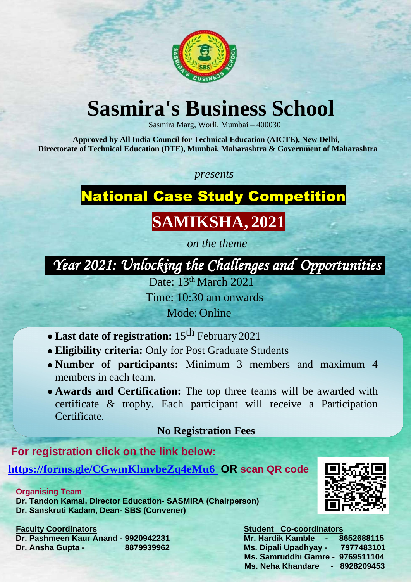

# **Sasmira's Business School**

Sasmira Marg, Worli, Mumbai – 400030

**Approved by All India Council for Technical Education (AICTE), New Delhi, Directorate of Technical Education (DTE), Mumbai, Maharashtra & Government of Maharashtra**

*presents*

National Case Study Competition

# **SAMIKSHA, 2021**

*on the theme*

 *Year 2021: Unlocking the Challenges and Opportunities* 

Date: 13th March 2021

- Last date of registration: 15<sup>th</sup> February 2021
- **Eligibility criteria:** Only for Post Graduate Students
- **Number of participants:** Minimum 3 members and maximum 4 members in each team.
- **Awards and Certification:** The top three teams will be awarded with certificate & trophy. Each participant will receive a Participation Certificate.

Time: 10:30 am onwards

Mode: Online

**Faculty Coordinators Contact Contact Contact Contact Contact Contact Contact Contact Contact Contact Contact Contact Contact Contact Contact Contact Contact Contact Contact Contact Contact Contact Contact Contact Contact Dr. Pashmeen Kaur Anand - 9920942231 Mr. Hardik Kamble - 8652688115 Dr. Ansha Gupta - 8879939962 Ms. Dipali Upadhyay - 7977483101**

## **No Registration Fees**

## **For registration click on the link below:**

**<https://forms.gle/CGwmKhnvbeZq4eMu6>OR scan QR code**

**Organising Team Dr. Tandon Kamal, Director Education- SASMIRA (Chairperson) Dr. Sanskruti Kadam, Dean- SBS (Convener)**

> **Ms. Samruddhi Gamre - 9769511104 Ms. Neha Khandare - 8928209453**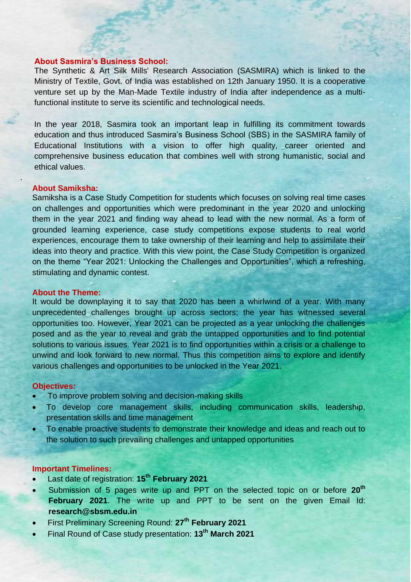#### **About Sasmira's Business School:**

The Synthetic & Art Silk Mills' Research Association (SASMIRA) which is linked to the Ministry of Textile, Govt. of India was established on 12th January 1950. It is a cooperative venture set up by the Man-Made Textile industry of India after independence as a multifunctional institute to serve its scientific and technological needs.

In the year 2018, Sasmira took an important leap in fulfilling its commitment towards education and thus introduced Sasmira's Business School (SBS) in the SASMIRA family of Educational Institutions with a vision to offer high quality, career oriented and comprehensive business education that combines well with strong humanistic, social and ethical values.

.

#### **About Samiksha:**

Samiksha is a Case Study Competition for students which focuses on solving real time cases on challenges and opportunities which were predominant in the year 2020 and unlocking them in the year 2021 and finding way ahead to lead with the new normal. As a form of grounded learning experience, case study competitions expose students to real world experiences, encourage them to take ownership of their learning and help to assimilate their ideas into theory and practice. With this view point, the Case Study Competition is organized on the theme "Year 2021: Unlocking the Challenges and Opportunities", which a refreshing, stimulating and dynamic contest.

#### **About the Theme:**

It would be downplaying it to say that 2020 has been a whirlwind of a year. With many unprecedented challenges brought up across sectors; the year has witnessed several opportunities too. However, Year 2021 can be projected as a year unlocking the challenges

posed and as the year to reveal and grab the untapped opportunities and to find potential solutions to various issues. Year 2021 is to find opportunities within a crisis or a challenge to unwind and look forward to new normal. Thus this competition aims to explore and identify various challenges and opportunities to be unlocked in the Year 2021.

### **Objectives:**

- To improve problem solving and decision-making skills
- To develop core management skills, including communication skills, leadership, presentation skills and time management
- To enable proactive students to demonstrate their knowledge and ideas and reach out to the solution to such prevailing challenges and untapped opportunities

#### **Important Timelines:**

- Last date of registration: **15th February 2021**
- Submission of 5 pages write up and PPT on the selected topic on or before **20th February 2021**. The write up and PPT to be sent on the given Email Id: **research@sbsm.edu.in**
- First Preliminary Screening Round: **27th February 2021**
- Final Round of Case study presentation: **13th March 2021**